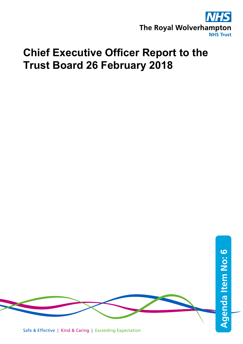

## **Chief Executive Officer Report to the Trust Board 26 February 2018**



Safe & Effective | Kind & Caring | Exceeding Expectation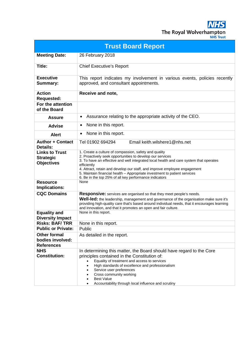**NHS** The Royal Wolverhampton

| <b>JHS Trust</b> |  |
|------------------|--|
|                  |  |
|                  |  |

| <b>Trust Board Report</b>                                      |                                                                                                                                                                                                                                                                                                                                                                                                                                                 |  |
|----------------------------------------------------------------|-------------------------------------------------------------------------------------------------------------------------------------------------------------------------------------------------------------------------------------------------------------------------------------------------------------------------------------------------------------------------------------------------------------------------------------------------|--|
| <b>Meeting Date:</b>                                           | 26 February 2018                                                                                                                                                                                                                                                                                                                                                                                                                                |  |
| Title:                                                         | <b>Chief Executive's Report</b>                                                                                                                                                                                                                                                                                                                                                                                                                 |  |
| <b>Executive</b><br><b>Summary:</b>                            | This report indicates my involvement in various events, policies recently<br>approved, and consultant appointments.                                                                                                                                                                                                                                                                                                                             |  |
| <b>Action</b><br><b>Requested:</b>                             | Receive and note,                                                                                                                                                                                                                                                                                                                                                                                                                               |  |
| For the attention<br>of the Board                              |                                                                                                                                                                                                                                                                                                                                                                                                                                                 |  |
| <b>Assure</b>                                                  | Assurance relating to the appropriate activity of the CEO.<br>٠                                                                                                                                                                                                                                                                                                                                                                                 |  |
| <b>Advise</b>                                                  | None in this report.<br>٠                                                                                                                                                                                                                                                                                                                                                                                                                       |  |
| <b>Alert</b>                                                   | None in this report.<br>$\bullet$                                                                                                                                                                                                                                                                                                                                                                                                               |  |
| <b>Author + Contact</b><br><b>Details:</b>                     | Tel 01902 694294<br>Email keith.wilshere1@nhs.net                                                                                                                                                                                                                                                                                                                                                                                               |  |
| <b>Links to Trust</b><br><b>Strategic</b><br><b>Objectives</b> | 1. Create a culture of compassion, safety and quality<br>2. Proactively seek opportunities to develop our services<br>3. To have an effective and well integrated local health and care system that operates<br>efficiently<br>4. Attract, retain and develop our staff, and improve employee engagement<br>5. Maintain financial health - Appropriate investment to patient services<br>6. Be in the top 25% of all key performance indicators |  |
| <b>Resource</b><br>Implications:                               | None                                                                                                                                                                                                                                                                                                                                                                                                                                            |  |
| <b>CQC Domains</b>                                             | <b>Responsive:</b> services are organised so that they meet people's needs.<br>Well-led: the leadership, management and governance of the organisation make sure it's<br>providing high-quality care that's based around individual needs, that it encourages learning<br>and innovation, and that it promotes an open and fair culture.                                                                                                        |  |
| <b>Equality and</b><br><b>Diversity Impact</b>                 | None in this report.                                                                                                                                                                                                                                                                                                                                                                                                                            |  |
| <b>Risks: BAF/TRR</b>                                          | None in this report.                                                                                                                                                                                                                                                                                                                                                                                                                            |  |
| <b>Public or Private:</b>                                      | Public                                                                                                                                                                                                                                                                                                                                                                                                                                          |  |
| <b>Other formal</b><br>bodies involved:                        | As detailed in the report.                                                                                                                                                                                                                                                                                                                                                                                                                      |  |
| <b>References</b>                                              |                                                                                                                                                                                                                                                                                                                                                                                                                                                 |  |
| <b>NHS</b><br><b>Constitution:</b>                             | In determining this matter, the Board should have regard to the Core<br>principles contained in the Constitution of:<br>Equality of treatment and access to services<br>High standards of excellence and professionalism<br>Service user preferences<br>Cross community working<br><b>Best Value</b><br>Accountability through local influence and scrutiny                                                                                     |  |